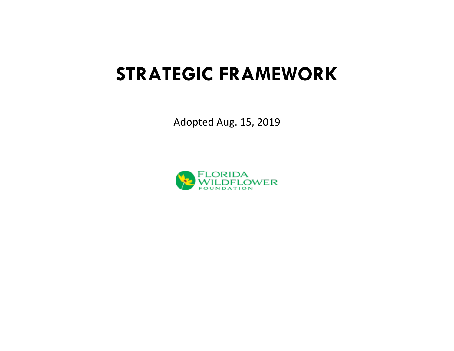# **STRATEGIC FRAMEWORK**

Adopted Aug. 15, 2019

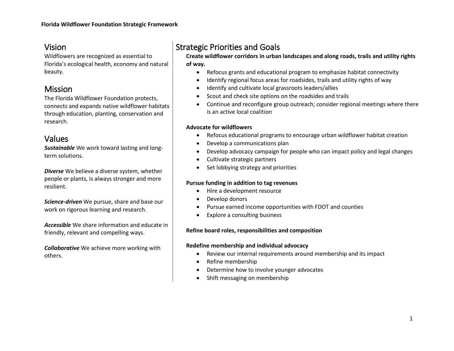# Vision

Wildflowers are recognized as essential to Florida's ecological health, economy and natural beauty.

# Mission

The Florida Wildflower Foundation protects, connects and expands native wildflower habitats through education, planting, conservation and research.

# Values

*Sustainable* We work toward lasting and longterm solutions.

*Diverse* We believe a diverse system, whether people or plants, is always stronger and more resilient.

*Science-driven* We pursue, share and base our work on rigorous learning and research.

*Accessible* We share information and educate in friendly, relevant and compelling ways.

*Collaborative* We achieve more working with others.

# Strategic Priorities and Goals

**Create wildflower corridors in urban landscapes and along roads, trails and utility rights of way.**

- Refocus grants and educational program to emphasize habitat connectivity
- Identify regional focus areas for roadsides, trails and utility rights of way
- Identify and cultivate local grassroots leaders/allies
- Scout and check site options on the roadsides and trails
- Continue and reconfigure group outreach; consider regional meetings where there is an active local coalition

#### **Advocate for wildflowers**

- Refocus educational programs to encourage urban wildflower habitat creation
- Develop a communications plan
- Develop advocacy campaign for people who can impact policy and legal changes
- Cultivate strategic partners
- Set lobbying strategy and priorities

#### **Pursue funding in addition to tag revenues**

- Hire a development resource
- Develop donors
- Pursue earned income opportunities with FDOT and counties
- Explore a consulting business

#### **Refine board roles, responsibilities and composition**

#### **Redefine membership and individual advocacy**

- Review our internal requirements around membership and its impact
- Refine membership
- Determine how to involve younger advocates
- Shift messaging on membership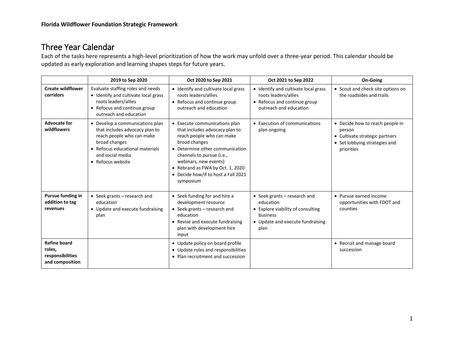# Three Year Calendar

Each of the tasks here represents a high-level prioritization of how the work may unfold over a three-year period. This calendar should be updated as early exploration and learning shapes steps for future years.

|                                                                      | 2019 to Sep 2020                                                                                                                                                                            | Oct 2020 to Sep 2021                                                                                                                                                                                                                                                                           | Oct 2021 to Sep 2022                                                                                                                     | <b>On-Going</b>                                                                                                            |
|----------------------------------------------------------------------|---------------------------------------------------------------------------------------------------------------------------------------------------------------------------------------------|------------------------------------------------------------------------------------------------------------------------------------------------------------------------------------------------------------------------------------------------------------------------------------------------|------------------------------------------------------------------------------------------------------------------------------------------|----------------------------------------------------------------------------------------------------------------------------|
| <b>Create wildflower</b><br>corridors                                | Evaluate staffing roles and needs<br>• Identify and cultivate local grass<br>roots leaders/allies<br>• Refocus and continue group<br>outreach and education                                 | • Identify and cultivate local grass<br>roots leaders/allies<br>• Refocus and continue group<br>outreach and education                                                                                                                                                                         | • Identify and cultivate local grass<br>roots leaders/allies<br>• Refocus and continue group<br>outreach and education                   | • Scout and check site options on<br>the roadsides and trails                                                              |
| <b>Advocate for</b><br>wildflowers                                   | • Develop a communications plan<br>that includes advocacy plan to<br>reach people who can make<br>broad changes<br>• Refocus educational materials<br>and social media<br>• Refocus website | • Execute communications plan<br>that includes advocacy plan to<br>reach people who can make<br>broad changes<br>• Determine other communication<br>channels to pursue (i.e.,<br>webinars, new events)<br>• Rebrand as FWA by Oct. 1, 2020<br>• Decide how/if to host a Fall 2021<br>symposium | • Execution of communications<br>plan ongoing                                                                                            | • Decide how to reach people in<br>person<br>• Cultivate strategic partners<br>• Set lobbying strategies and<br>priorities |
| Pursue funding in<br>addition to tag<br>revenues                     | • Seek grants - research and<br>education<br>• Update and execute fundraising<br>plan                                                                                                       | • Seek funding for and hire a<br>development resource<br>• Seek grants $-$ research and<br>education<br>• Revise and execute fundraising<br>plan with development hire<br>input                                                                                                                | • Seek grants $-$ research and<br>education<br>• Explore viability of consulting<br>business<br>• Update and execute fundraising<br>plan | • Pursue earned income<br>opportunities with FDOT and<br>counties                                                          |
| <b>Refine board</b><br>roles,<br>responsibilities<br>and composition |                                                                                                                                                                                             | • Update policy on board profile<br>• Update roles and responsibilities<br>• Plan recruitment and succession                                                                                                                                                                                   |                                                                                                                                          | • Recruit and manage board<br>succession                                                                                   |